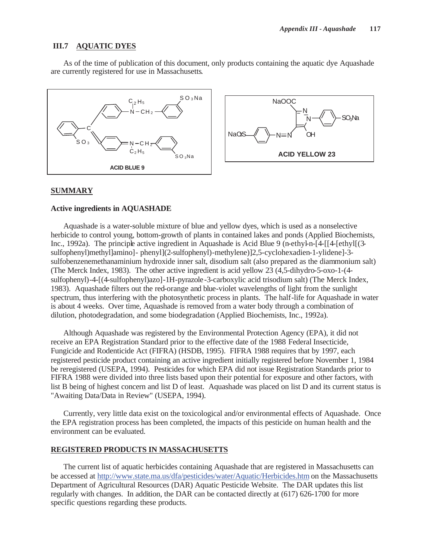## **III.7 AQUATIC DYES**

As of the time of publication of this document, only products containing the aquatic dye Aquashade are currently registered for use in Massachusetts.



#### **SUMMARY**

#### **Active ingredients in AQUASHADE**

Aquashade is a water-soluble mixture of blue and yellow dyes, which is used as a nonselective herbicide to control young, bottom-growth of plants in contained lakes and ponds (Applied Biochemists, Inc., 1992a). The principle active ingredient in Aquashade is Acid Blue 9 (n-ethyl-n-[4-[[4-[ethyl](3sulfophenyl)methyl]amino]- phenyl](2-sulfophenyl)-methylene)]2,5-cyclohexadien-1-ylidene]-3 sulfobenzenemethanaminium hydroxide inner salt, disodium salt (also prepared as the diammonium salt) (The Merck Index, 1983). The other active ingredient is acid yellow 23 (4,5-dihydro-5-oxo-1-(4 sulfophenyl)-4-[(4-sulfophenyl)azo]-1H-pyrazole-3-carboxylic acid trisodium salt) (The Merck Index, 1983). Aquashade filters out the red-orange and blue-violet wavelengths of light from the sunlight spectrum, thus interfering with the photosynthetic process in plants. The half-life for Aquashade in water is about 4 weeks. Over time, Aquashade is removed from a water body through a combination of dilution, photodegradation, and some biodegradation (Applied Biochemists, Inc., 1992a).

Although Aquashade was registered by the Environmental Protection Agency (EPA), it did not receive an EPA Registration Standard prior to the effective date of the 1988 Federal Insecticide, Fungicide and Rodenticide Act (FIFRA) (HSDB, 1995). FIFRA 1988 requires that by 1997, each registered pesticide product containing an active ingredient initially registered before November 1, 1984 be reregistered (USEPA, 1994). Pesticides for which EPA did not issue Registration Standards prior to FIFRA 1988 were divided into three lists based upon their potential for exposure and other factors, with list B being of highest concern and list D of least. Aquashade was placed on list D and its current status is "Awaiting Data/Data in Review" (USEPA, 1994).

Currently, very little data exist on the toxicological and/or environmental effects of Aquashade. Once the EPA registration process has been completed, the impacts of this pesticide on human health and the environment can be evaluated.

#### **REGISTERED PRODUCTS IN MASSACHUSETTS**

The current list of aquatic herbicides containing Aquashade that are registered in Massachusetts can be accessed at http://www.state.ma.us/dfa/pesticides/water/Aquatic/Herbicides.htm on the Massachusetts Department of Agricultural Resources (DAR) Aquatic Pesticide Website. The DAR updates this list regularly with changes. In addition, the DAR can be contacted directly at (617) 626-1700 for more specific questions regarding these products.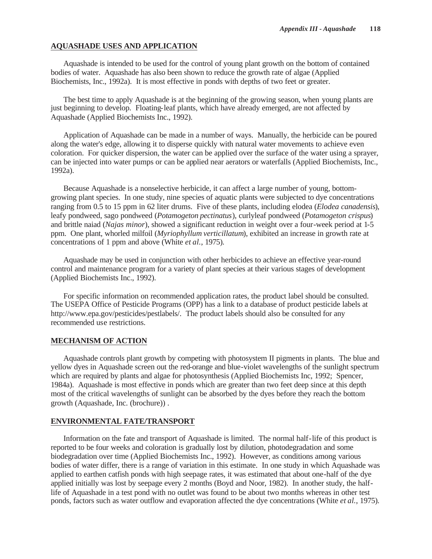### **AQUASHADE USES AND APPLICATION**

Aquashade is intended to be used for the control of young plant growth on the bottom of contained bodies of water. Aquashade has also been shown to reduce the growth rate of algae (Applied Biochemists, Inc., 1992a). It is most effective in ponds with depths of two feet or greater.

The best time to apply Aquashade is at the beginning of the growing season, when young plants are just beginning to develop. Floating-leaf plants, which have already emerged, are not affected by Aquashade (Applied Biochemists Inc., 1992).

Application of Aquashade can be made in a number of ways. Manually, the herbicide can be poured along the water's edge, allowing it to disperse quickly with natural water movements to achieve even coloration. For quicker dispersion, the water can be applied over the surface of the water using a sprayer, can be injected into water pumps or can be applied near aerators or waterfalls (Applied Biochemists, Inc., 1992a).

Because Aquashade is a nonselective herbicide, it can affect a large number of young, bottomgrowing plant species. In one study, nine species of aquatic plants were subjected to dye concentrations ranging from 0.5 to 15 ppm in 62 liter drums. Five of these plants, including elodea (*Elodea canadensis*), leafy pondweed, sago pondweed (*Potamogeton pectinatus*), curlyleaf pondweed (*Potamogeton crispus*) and brittle naiad (*Najas minor*), showed a significant reduction in weight over a four-week period at 1-5 ppm. One plant, whorled milfoil (*Myriophyllum verticillatum*), exhibited an increase in growth rate at concentrations of 1 ppm and above (White *et al.*, 1975).

Aquashade may be used in conjunction with other herbicides to achieve an effective year-round control and maintenance program for a variety of plant species at their various stages of development (Applied Biochemists Inc., 1992).

For specific information on recommended application rates, the product label should be consulted. The USEPA Office of Pesticide Programs (OPP) has a link to a database of product pesticide labels at http://www.epa.gov/pesticides/pestlabels/. The product labels should also be consulted for any recommended use restrictions.

# **MECHANISM OF ACTION**

Aquashade controls plant growth by competing with photosystem II pigments in plants. The blue and yellow dyes in Aquashade screen out the red-orange and blue-violet wavelengths of the sunlight spectrum which are required by plants and algae for photosynthesis (Applied Biochemists Inc, 1992; Spencer, 1984a). Aquashade is most effective in ponds which are greater than two feet deep since at this depth most of the critical wavelengths of sunlight can be absorbed by the dyes before they reach the bottom growth (Aquashade, Inc. (brochure)) .

#### **ENVIRONMENTAL FATE/TRANSPORT**

Information on the fate and transport of Aquashade is limited. The normal half-life of this product is reported to be four weeks and coloration is gradually lost by dilution, photodegradation and some biodegradation over time (Applied Biochemists Inc., 1992). However, as conditions among various bodies of water differ, there is a range of variation in this estimate. In one study in which Aquashade was applied to earthen catfish ponds with high seepage rates, it was estimated that about one-half of the dye applied initially was lost by seepage every 2 months (Boyd and Noor, 1982). In another study, the halflife of Aquashade in a test pond with no outlet was found to be about two months whereas in other test ponds, factors such as water outflow and evaporation affected the dye concentrations (White *et al.*, 1975).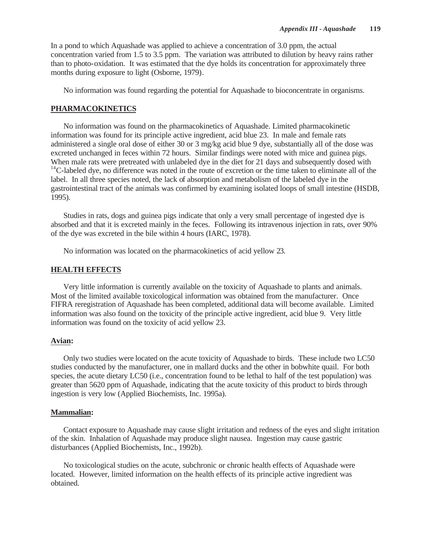In a pond to which Aquashade was applied to achieve a concentration of 3.0 ppm, the actual concentration varied from 1.5 to 3.5 ppm. The variation was attributed to dilution by heavy rains rather than to photo-oxidation. It was estimated that the dye holds its concentration for approximately three months during exposure to light (Osborne, 1979).

No information was found regarding the potential for Aquashade to bioconcentrate in organisms.

## **PHARMACOKINETICS**

No information was found on the pharmacokinetics of Aquashade. Limited pharmacokinetic information was found for its principle active ingredient, acid blue 23. In male and female rats administered a single oral dose of either 30 or 3 mg/kg acid blue 9 dye, substantially all of the dose was excreted unchanged in feces within 72 hours. Similar findings were noted with mice and guinea pigs. When male rats were pretreated with unlabeled dye in the diet for 21 days and subsequently dosed with  $14$ C-labeled dye, no difference was noted in the route of excretion or the time taken to eliminate all of the label. In all three species noted, the lack of absorption and metabolism of the labeled dye in the gastrointestinal tract of the animals was confirmed by examining isolated loops of small intestine (HSDB, 1995).

Studies in rats, dogs and guinea pigs indicate that only a very small percentage of ingested dye is absorbed and that it is excreted mainly in the feces. Following its intravenous injection in rats, over 90% of the dye was excreted in the bile within 4 hours (IARC, 1978).

No information was located on the pharmacokinetics of acid yellow 23.

## **HEALTH EFFECTS**

Very little information is currently available on the toxicity of Aquashade to plants and animals. Most of the limited available toxicological information was obtained from the manufacturer. Once FIFRA reregistration of Aquashade has been completed, additional data will become available. Limited information was also found on the toxicity of the principle active ingredient, acid blue 9. Very little information was found on the toxicity of acid yellow 23.

### **Avian:**

Only two studies were located on the acute toxicity of Aquashade to birds. These include two LC50 studies conducted by the manufacturer, one in mallard ducks and the other in bobwhite quail. For both species, the acute dietary LC50 (i.e., concentration found to be lethal to half of the test population) was greater than 5620 ppm of Aquashade, indicating that the acute toxicity of this product to birds through ingestion is very low (Applied Biochemists, Inc. 1995a).

#### **Mammalian:**

Contact exposure to Aquashade may cause slight irritation and redness of the eyes and slight irritation of the skin. Inhalation of Aquashade may produce slight nausea. Ingestion may cause gastric disturbances (Applied Biochemists, Inc., 1992b).

No toxicological studies on the acute, subchronic or chronic health effects of Aquashade were located. However, limited information on the health effects of its principle active ingredient was obtained.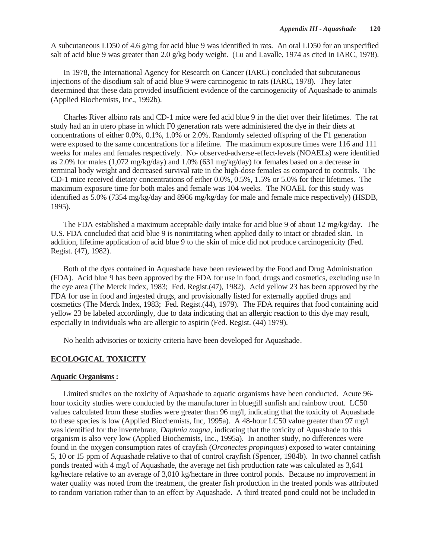A subcutaneous LD50 of 4.6 g/mg for acid blue 9 was identified in rats. An oral LD50 for an unspecified salt of acid blue 9 was greater than 2.0 g/kg body weight. (Lu and Lavalle, 1974 as cited in IARC, 1978).

In 1978, the International Agency for Research on Cancer (IARC) concluded that subcutaneous injections of the disodium salt of acid blue 9 were carcinogenic to rats (IARC, 1978). They later determined that these data provided insufficient evidence of the carcinogenicity of Aquashade to animals (Applied Biochemists, Inc., 1992b).

Charles River albino rats and CD-1 mice were fed acid blue 9 in the diet over their lifetimes. The rat study had an in utero phase in which F0 generation rats were administered the dye in their diets at concentrations of either 0.0%, 0.1%, 1.0% or 2.0%. Randomly selected offspring of the F1 generation were exposed to the same concentrations for a lifetime. The maximum exposure times were 116 and 111 weeks for males and females respectively. No- observed-adverse-effect-levels (NOAELs) were identified as 2.0% for males (1,072 mg/kg/day) and 1.0% (631 mg/kg/day) for females based on a decrease in terminal body weight and decreased survival rate in the high-dose females as compared to controls. The CD-1 mice received dietary concentrations of either 0.0%, 0.5%, 1.5% or 5.0% for their lifetimes. The maximum exposure time for both males and female was 104 weeks. The NOAEL for this study was identified as 5.0% (7354 mg/kg/day and 8966 mg/kg/day for male and female mice respectively) (HSDB, 1995).

The FDA established a maximum acceptable daily intake for acid blue 9 of about 12 mg/kg/day. The U.S. FDA concluded that acid blue 9 is nonirritating when applied daily to intact or abraded skin. In addition, lifetime application of acid blue 9 to the skin of mice did not produce carcinogenicity (Fed. Regist. (47), 1982).

Both of the dyes contained in Aquashade have been reviewed by the Food and Drug Administration (FDA). Acid blue 9 has been approved by the FDA for use in food, drugs and cosmetics, excluding use in the eye area (The Merck Index, 1983; Fed. Regist.(47), 1982). Acid yellow 23 has been approved by the FDA for use in food and ingested drugs, and provisionally listed for externally applied drugs and cosmetics (The Merck Index, 1983; Fed. Regist.(44), 1979). The FDA requires that food containing acid yellow 23 be labeled accordingly, due to data indicating that an allergic reaction to this dye may result, especially in individuals who are allergic to aspirin (Fed. Regist. (44) 1979).

No health advisories or toxicity criteria have been developed for Aquashade.

## **ECOLOGICAL TOXICITY**

#### **Aquatic Organisms:**

Limited studies on the toxicity of Aquashade to aquatic organisms have been conducted. Acute 96 hour toxicity studies were conducted by the manufacturer in bluegill sunfish and rainbow trout. LC50 values calculated from these studies were greater than 96 mg/l, indicating that the toxicity of Aquashade to these species is low (Applied Biochemists, Inc, 1995a). A 48-hour LC50 value greater than 97 mg/l was identified for the invertebrate, *Daphnia magna*, indicating that the toxicity of Aquashade to this organism is also very low (Applied Biochemists, Inc., 1995a). In another study, no differences were found in the oxygen consumption rates of crayfish (*Orconectes propinquus*) exposed to water containing 5, 10 or 15 ppm of Aquashade relative to that of control crayfish (Spencer, 1984b). In two channel catfish ponds treated with 4 mg/l of Aquashade, the average net fish production rate was calculated as 3,641 kg/hectare relative to an average of 3,010 kg/hectare in three control ponds. Because no improvement in water quality was noted from the treatment, the greater fish production in the treated ponds was attributed to random variation rather than to an effect by Aquashade. A third treated pond could not be included in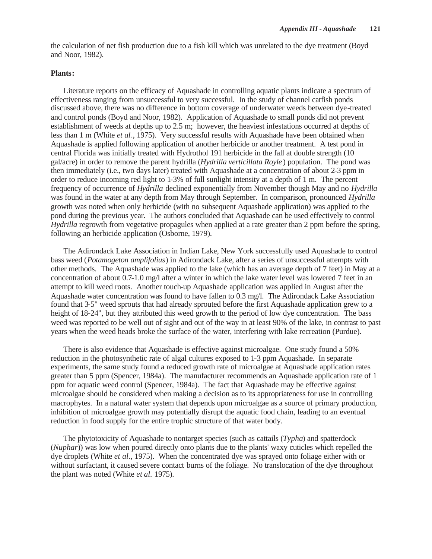the calculation of net fish production due to a fish kill which was unrelated to the dye treatment (Boyd and Noor, 1982).

## **Plants:**

Literature reports on the efficacy of Aquashade in controlling aquatic plants indicate a spectrum of effectiveness ranging from unsuccessful to very successful. In the study of channel catfish ponds discussed above, there was no difference in bottom coverage of underwater weeds between dye-treated and control ponds (Boyd and Noor, 1982). Application of Aquashade to small ponds did not prevent establishment of weeds at depths up to 2.5 m; however, the heaviest infestations occurred at depths of less than 1 m (White *et al.*, 1975). Very successful results with Aquashade have been obtained when Aquashade is applied following application of another herbicide or another treatment. A test pond in central Florida was initially treated with Hydrothol 191 herbicide in the fall at double strength (10 gal/acre) in order to remove the parent hydrilla (*Hydrilla verticillata Royle* ) population. The pond was then immediately (i.e., two days later) treated with Aquashade at a concentration of about 2-3 ppm in order to reduce incoming red light to 1-3% of full sunlight intensity at a depth of 1 m. The percent frequency of occurrence of *Hydrilla* declined exponentially from November though May and no *Hydrilla* was found in the water at any depth from May through September. In comparison, pronounced *Hydrilla* growth was noted when only herbicide (with no subsequent Aquashade application) was applied to the pond during the previous year. The authors concluded that Aquashade can be used effectively to control *Hydrilla* regrowth from vegetative propagules when applied at a rate greater than 2 ppm before the spring, following an herbicide application (Osborne, 1979).

The Adirondack Lake Association in Indian Lake, New York successfully used Aquashade to control bass weed (*Potamogeton amplifolius*) in Adirondack Lake, after a series of unsuccessful attempts with other methods. The Aquashade was applied to the lake (which has an average depth of 7 feet) in May at a concentration of about 0.7-1.0 mg/l after a winter in which the lake water level was lowered 7 feet in an attempt to kill weed roots. Another touch-up Aquashade application was applied in August after the Aquashade water concentration was found to have fallen to 0.3 mg/l. The Adirondack Lake Association found that 3-5" weed sprouts that had already sprouted before the first Aquashade application grew to a height of 18-24", but they attributed this weed growth to the period of low dye concentration. The bass weed was reported to be well out of sight and out of the way in at least 90% of the lake, in contrast to past years when the weed heads broke the surface of the water, interfering with lake recreation (Purdue).

There is also evidence that Aquashade is effective against microalgae. One study found a 50% reduction in the photosynthetic rate of algal cultures exposed to 1-3 ppm Aquashade. In separate experiments, the same study found a reduced growth rate of microalgae at Aquashade application rates greater than 5 ppm (Spencer, 1984a). The manufacturer recommends an Aquashade application rate of 1 ppm for aquatic weed control (Spencer, 1984a). The fact that Aquashade may be effective against microalgae should be considered when making a decision as to its appropriateness for use in controlling macrophytes. In a natural water system that depends upon microalgae as a source of primary production, inhibition of microalgae growth may potentially disrupt the aquatic food chain, leading to an eventual reduction in food supply for the entire trophic structure of that water body.

The phytotoxicity of Aquashade to nontarget species (such as cattails (*Typha*) and spatterdock (*Nuphar*)) was low when poured directly onto plants due to the plants' waxy cuticles which repelled the dye droplets (White *et al.*, 1975). When the concentrated dye was sprayed onto foliage either with or without surfactant, it caused severe contact burns of the foliage. No translocation of the dye throughout the plant was noted (White *et al.* 1975).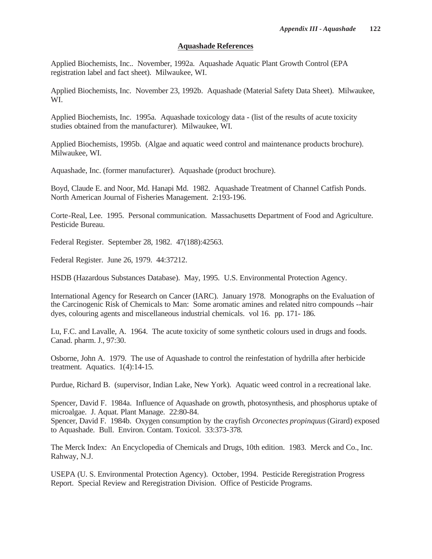# **Aquashade References**

Applied Biochemists, Inc.. November, 1992a. Aquashade Aquatic Plant Growth Control (EPA registration label and fact sheet). Milwaukee, WI.

Applied Biochemists, Inc. November 23, 1992b. Aquashade (Material Safety Data Sheet). Milwaukee, WI.

Applied Biochemists, Inc. 1995a. Aquashade toxicology data - (list of the results of acute toxicity studies obtained from the manufacturer). Milwaukee, WI.

Applied Biochemists, 1995b. (Algae and aquatic weed control and maintenance products brochure). Milwaukee, WI.

Aquashade, Inc. (former manufacturer). Aquashade (product brochure).

Boyd, Claude E. and Noor, Md. Hanapi Md. 1982. Aquashade Treatment of Channel Catfish Ponds. North American Journal of Fisheries Management. 2:193-196.

Corte-Real, Lee. 1995. Personal communication. Massachusetts Department of Food and Agriculture. Pesticide Bureau.

Federal Register. September 28, 1982. 47(188):42563.

Federal Register. June 26, 1979. 44:37212.

HSDB (Hazardous Substances Database). May, 1995. U.S. Environmental Protection Agency.

International Agency for Research on Cancer (IARC). January 1978. Monographs on the Evaluation of the Carcinogenic Risk of Chemicals to Man: Some aromatic amines and related nitro compounds --hair dyes, colouring agents and miscellaneous industrial chemicals. vol 16. pp. 171- 186.

Lu, F.C. and Lavalle, A. 1964. The acute toxicity of some synthetic colours used in drugs and foods. Canad. pharm. J., 97:30.

Osborne, John A. 1979. The use of Aquashade to control the reinfestation of hydrilla after herbicide treatment. Aquatics. 1(4):14-15.

Purdue, Richard B. (supervisor, Indian Lake, New York). Aquatic weed control in a recreational lake.

Spencer, David F. 1984a. Influence of Aquashade on growth, photosynthesis, and phosphorus uptake of microalgae. J. Aquat. Plant Manage. 22:80-84.

Spencer, David F. 1984b. Oxygen consumption by the crayfish *Orconectes propinquus* (Girard) exposed to Aquashade. Bull. Environ. Contam. Toxicol. 33:373-378.

The Merck Index: An Encyclopedia of Chemicals and Drugs, 10th edition. 1983. Merck and Co., Inc. Rahway, N.J.

USEPA (U. S. Environmental Protection Agency). October, 1994. Pesticide Reregistration Progress Report. Special Review and Reregistration Division. Office of Pesticide Programs.